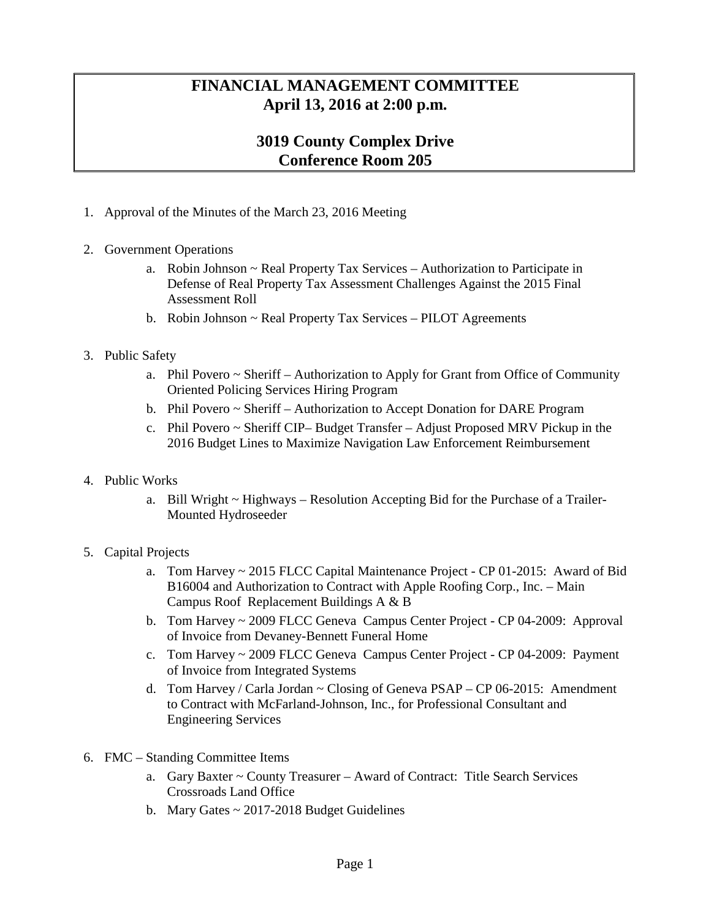## **FINANCIAL MANAGEMENT COMMITTEE April 13, 2016 at 2:00 p.m.**

## **3019 County Complex Drive Conference Room 205**

- 1. Approval of the Minutes of the March 23, 2016 Meeting
- 2. Government Operations
	- a. Robin Johnson ~ Real Property Tax Services Authorization to Participate in Defense of Real Property Tax Assessment Challenges Against the 2015 Final Assessment Roll
	- b. Robin Johnson ~ Real Property Tax Services PILOT Agreements
- 3. Public Safety
	- a. Phil Povero ~ Sheriff Authorization to Apply for Grant from Office of Community Oriented Policing Services Hiring Program
	- b. Phil Povero ~ Sheriff Authorization to Accept Donation for DARE Program
	- c. Phil Povero ~ Sheriff CIP– Budget Transfer Adjust Proposed MRV Pickup in the 2016 Budget Lines to Maximize Navigation Law Enforcement Reimbursement
- 4. Public Works
	- a. Bill Wright  $\sim$  Highways Resolution Accepting Bid for the Purchase of a Trailer-Mounted Hydroseeder
- 5. Capital Projects
	- a. Tom Harvey ~ 2015 FLCC Capital Maintenance Project CP 01-2015: Award of Bid B16004 and Authorization to Contract with Apple Roofing Corp., Inc. – Main Campus Roof Replacement Buildings A & B
	- b. Tom Harvey ~ 2009 FLCC Geneva Campus Center Project CP 04-2009: Approval of Invoice from Devaney-Bennett Funeral Home
	- c. Tom Harvey ~ 2009 FLCC Geneva Campus Center Project CP 04-2009: Payment of Invoice from Integrated Systems
	- d. Tom Harvey / Carla Jordan ~ Closing of Geneva PSAP CP 06-2015: Amendment to Contract with McFarland-Johnson, Inc., for Professional Consultant and Engineering Services
- 6. FMC Standing Committee Items
	- a. Gary Baxter ~ County Treasurer Award of Contract: Title Search Services Crossroads Land Office
	- b. Mary Gates  $\sim 2017$ -2018 Budget Guidelines